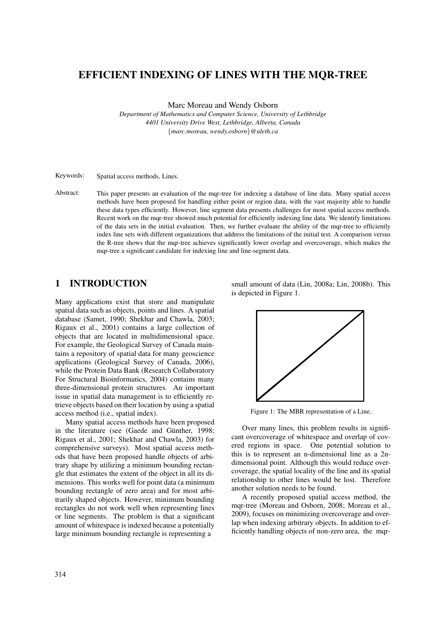# EFFICIENT INDEXING OF LINES WITH THE MQR-TREE

Marc Moreau and Wendy Osborn

*Department of Mathematics and Computer Science, University of Lethbridge 4401 University Drive West, Lethbridge, Alberta, Canada* {*marc.moreau, wendy.osborn*}*@uleth.ca*

Keywords: Spatial access methods, Lines.

Abstract: This paper presents an evaluation of the mqr-tree for indexing a database of line data. Many spatial access methods have been proposed for handling either point or region data, with the vast majority able to handle these data types efficiently. However, line segment data presents challenges for most spatial access methods. Recent work on the mqr-tree showed much potential for efficiently indexing line data. We identify limitations of the data sets in the initial evaluation. Then, we further evaluate the ability of the mqr-tree to efficiently index line sets with different organizations that address the limitations of the initial test. A comparison versus the R-tree shows that the mqr-tree achieves significantly lower overlap and overcoverage, which makes the mqr-tree a significant candidate for indexing line and line-segment data.

## 1 INTRODUCTION

Many applications exist that store and manipulate spatial data such as objects, points and lines. A spatial database (Samet, 1990; Shekhar and Chawla, 2003; Rigaux et al., 2001) contains a large collection of objects that are located in multidimensional space. For example, the Geological Survey of Canada maintains a repository of spatial data for many geoscience applications (Geological Survey of Canada, 2006), while the Protein Data Bank (Research Collaboratory For Structural Bioinformatics, 2004) contains many three-dimensional protein structures. An important issue in spatial data management is to efficiently retrieve objects based on their location by using a spatial access method (i.e., spatial index).

Many spatial access methods have been proposed in the literature (see (Gaede and Günther, 1998; Rigaux et al., 2001; Shekhar and Chawla, 2003) for comprehensive surveys). Most spatial access methods that have been proposed handle objects of arbitrary shape by utilizing a minimum bounding rectangle that estimates the extent of the object in all its dimensions. This works well for point data (a minimum bounding rectangle of zero area) and for most arbitrarily shaped objects. However, minimum bounding rectangles do not work well when representing lines or line segments. The problem is that a significant amount of whitespace is indexed because a potentially large minimum bounding rectangle is representing a

small amount of data (Lin, 2008a; Lin, 2008b). This is depicted in Figure 1.



Figure 1: The MBR representation of a Line.

Over many lines, this problem results in significant overcoverage of whitespace and overlap of covered regions in space. One potential solution to this is to represent an n-dimensional line as a 2ndimensional point. Although this would reduce overcoverage, the spatial locality of the line and its spatial relationship to other lines would be lost. Therefore another solution needs to be found.

A recently proposed spatial access method, the mqr-tree (Moreau and Osborn, 2008; Moreau et al., 2009), focuses on minimizing overcoverage and overlap when indexing arbitrary objects. In addition to efficiently handling objects of non-zero area, the mqr-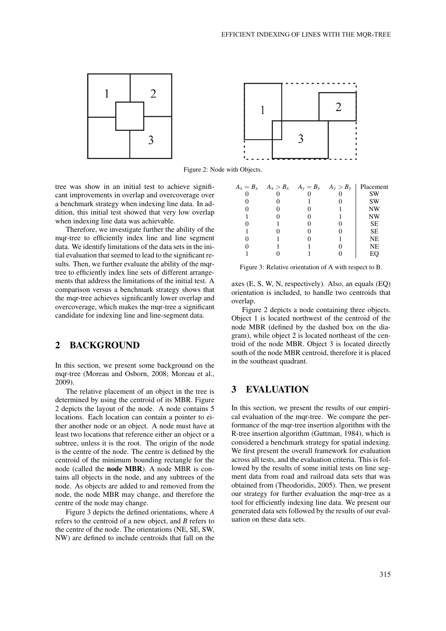

Figure 2: Node with Objects.

tree was show in an initial test to achieve significant improvements in overlap and overcoverage over a benchmark strategy when indexing line data. In addition, this initial test showed that very low overlap when indexing line data was achievable.

Therefore, we investigate further the ability of the mqr-tree to efficiently index line and line segment data. We identify limitations of the data sets in the initial evaluation that seemed to lead to the significant results. Then, we further evaluate the ability of the mqrtree to efficiently index line sets of different arrangements that address the limitations of the initial test. A comparison versus a benchmark strategy shows that the mqr-tree achieves significantly lower overlap and overcoverage, which makes the mqr-tree a significant candidate for indexing line and line-segment data.

### 2 BACKGROUND

In this section, we present some background on the mqr-tree (Moreau and Osborn, 2008; Moreau et al., 2009).

The relative placement of an object in the tree is determined by using the centroid of its MBR. Figure 2 depicts the layout of the node. A node contains 5 locations. Each location can contain a pointer to either another node or an object. A node must have at least two locations that reference either an object or a subtree, unless it is the root. The origin of the node is the centre of the node. The centre is defined by the centroid of the minimum bounding rectangle for the node (called the node MBR). A node MBR is contains all objects in the node, and any subtrees of the node. As objects are added to and removed from the node, the node MBR may change, and therefore the centre of the node may change.

Figure 3 depicts the defined orientations, where *A* refers to the centroid of a new object, and *B* refers to the centre of the node. The orientations (NE, SE, SW, NW) are defined to include centroids that fall on the

| $A_x = B_x \t A_x > B_x \t A_y = B_y \t A_y > B_y$ |  | Placement |
|----------------------------------------------------|--|-----------|
|                                                    |  | SW        |
|                                                    |  | <b>SW</b> |
|                                                    |  | <b>NW</b> |
|                                                    |  | NW        |
|                                                    |  | <b>SE</b> |
|                                                    |  | <b>SE</b> |
|                                                    |  | NE        |
|                                                    |  | NE        |
|                                                    |  | EС        |

Figure 3: Relative orientation of A with respect to B.

axes (E, S, W, N, respectively). Also, an equals (EQ) orientation is included, to handle two centroids that overlap.

Figure 2 depicts a node containing three objects. Object 1 is located northwest of the centroid of the node MBR (defined by the dashed box on the diagram), while object 2 is located northeast of the centroid of the node MBR. Object 3 is located directly south of the node MBR centroid, therefore it is placed in the southeast quadrant.

### 3 EVALUATION

In this section, we present the results of our empirical evaluation of the mqr-tree. We compare the performance of the mqr-tree insertion algorithm with the R-tree insertion algorithm (Guttman, 1984), which is considered a benchmark strategy for spatial indexing. We first present the overall framework for evaluation across all tests, and the evaluation criteria. This is followed by the results of some initial tests on line segment data from road and railroad data sets that was obtained from (Theodoridis, 2005). Then, we present our strategy for further evaluation the mqr-tree as a tool for efficiently indexing line data. We present our generated data sets followed by the results of our evaluation on these data sets.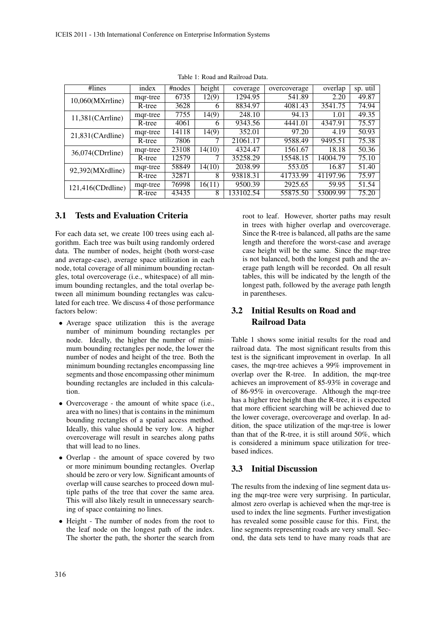| $\#lines$           | index    | #nodes | height | coverage  | overcoverage | overlap  | sp. util |
|---------------------|----------|--------|--------|-----------|--------------|----------|----------|
| $10,060(MXr$ rline) | mqr-tree | 6735   | 12(9)  | 1294.95   | 541.89       | 2.20     | 49.87    |
|                     | R-tree   | 3628   | 6      | 8834.97   | 4081.43      | 3541.75  | 74.94    |
| $11,381$ (CArrline) | mqr-tree | 7755   | 14(9)  | 248.10    | 94.13        | 1.01     | 49.35    |
|                     | R-tree   | 4061   | 6      | 9343.56   | 4441.01      | 4347.91  | 75.57    |
| 21,831(CArdline)    | mqr-tree | 14118  | 14(9)  | 352.01    | 97.20        | 4.19     | 50.93    |
|                     | R-tree   | 7806   |        | 21061.17  | 9588.49      | 9495.51  | 75.38    |
| 36,074(CDrrline)    | mqr-tree | 23108  | 14(10) | 4324.47   | 1561.67      | 18.18    | 50.36    |
|                     | R-tree   | 12579  | 7      | 35258.29  | 15548.15     | 14004.79 | 75.10    |
| 92,392(MXrdline)    | mqr-tree | 58849  | 14(10) | 2038.99   | 553.05       | 16.87    | 51.40    |
|                     | R-tree   | 32871  | 8      | 93818.31  | 41733.99     | 41197.96 | 75.97    |
| 121,416(CDrdline)   | mqr-tree | 76998  | 16(11) | 9500.39   | 2925.65      | 59.95    | 51.54    |
|                     | R-tree   | 43435  | 8      | 133102.54 | 55875.50     | 53009.99 | 75.20    |

Table 1: Road and Railroad Data.

### 3.1 Tests and Evaluation Criteria

For each data set, we create 100 trees using each algorithm. Each tree was built using randomly ordered data. The number of nodes, height (both worst-case and average-case), average space utilization in each node, total coverage of all minimum bounding rectangles, total overcoverage (i.e., whitespace) of all minimum bounding rectangles, and the total overlap between all minimum bounding rectangles was calculated for each tree. We discuss 4 of those performance factors below:

- Average space utilization this is the average number of minimum bounding rectangles per node. Ideally, the higher the number of minimum bounding rectangles per node, the lower the number of nodes and height of the tree. Both the minimum bounding rectangles encompassing line segments and those encompassing other minimum bounding rectangles are included in this calculation.
- Overcoverage the amount of white space (i.e., area with no lines) that is contains in the minimum bounding rectangles of a spatial access method. Ideally, this value should be very low. A higher overcoverage will result in searches along paths that will lead to no lines.
- Overlap the amount of space covered by two or more minimum bounding rectangles. Overlap should be zero or very low. Significant amounts of overlap will cause searches to proceed down multiple paths of the tree that cover the same area. This will also likely result in unnecessary searching of space containing no lines.
- Height The number of nodes from the root to the leaf node on the longest path of the index. The shorter the path, the shorter the search from

root to leaf. However, shorter paths may result in trees with higher overlap and overcoverage. Since the R-tree is balanced, all paths are the same length and therefore the worst-case and average case height will be the same. Since the mqr-tree is not balanced, both the longest path and the average path length will be recorded. On all result tables, this will be indicated by the length of the longest path, followed by the average path length in parentheses.

# 3.2 Initial Results on Road and Railroad Data

Table 1 shows some initial results for the road and railroad data. The most significant results from this test is the significant improvement in overlap. In all cases, the mqr-tree achieves a 99% improvement in overlap over the R-tree. In addition, the mqr-tree achieves an improvement of 85-93% in coverage and of 86-95% in overcoverage. Although the mqr-tree has a higher tree height than the R-tree, it is expected that more efficient searching will be achieved due to the lower coverage, overcoverage and overlap. In addition, the space utilization of the mqr-tree is lower than that of the R-tree, it is still around 50%, which is considered a minimum space utilization for treebased indices.

### 3.3 Initial Discussion

The results from the indexing of line segment data using the mqr-tree were very surprising. In particular, almost zero overlap is achieved when the mqr-tree is used to index the line segments. Further investigation has revealed some possible cause for this. First, the line segments representing roads are very small. Second, the data sets tend to have many roads that are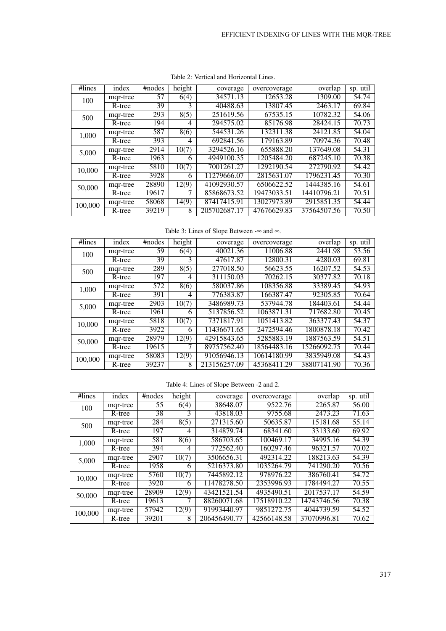| #lines  | index    | #nodes | height | coverage     | overcoverage | overlap     | sp. util |
|---------|----------|--------|--------|--------------|--------------|-------------|----------|
| 100     | mqr-tree | 57     | 6(4)   | 34571.13     | 12653.28     | 1309.00     | 54.74    |
|         | R-tree   | 39     | 3      | 40488.63     | 13807.45     | 2463.17     | 69.84    |
| 500     | mqr-tree | 293    | 8(5)   | 251619.56    | 67535.15     | 10782.32    | 54.06    |
|         | R-tree   | 194    | 4      | 294575.02    | 85176.98     | 28424.15    | 70.73    |
| 1,000   | mqr-tree | 587    | 8(6)   | 544531.26    | 132311.38    | 24121.85    | 54.04    |
|         | R-tree   | 393    | 4      | 692841.56    | 179163.89    | 70974.36    | 70.48    |
| 5,000   | mqr-tree | 2914   | 10(7)  | 3294526.16   | 655888.20    | 137649.08   | 54.31    |
|         | R-tree   | 1963   | 6      | 4949100.35   | 1205484.20   | 687245.10   | 70.38    |
| 10,000  | mqr-tree | 5810   | 10(7)  | 7001261.27   | 1292190.54   | 272790.92   | 54.42    |
|         | R-tree   | 3928   | 6      | 11279666.07  | 2815631.07   | 1796231.45  | 70.30    |
| 50,000  | mqr-tree | 28890  | 12(9)  | 41092930.57  | 6506622.52   | 1444385.16  | 54.61    |
|         | R-tree   | 19617  |        | 85868673.52  | 19473033.51  | 14410796.21 | 70.51    |
| 100,000 | mqr-tree | 58068  | 14(9)  | 87417415.91  | 13027973.89  | 2915851.35  | 54.44    |
|         | R-tree   | 39219  | 8      | 205702687.17 | 47676629.83  | 37564507.56 | 70.50    |

Table 2: Vertical and Horizontal Lines.

Table 3: Lines of Slope Between -∞ and ∞.

| #lines  | index    | #nodes | height | coverage     | overcoverage | overlap     | sp. util       |
|---------|----------|--------|--------|--------------|--------------|-------------|----------------|
| 100     | mqr-tree | 59     | 6(4)   | 40021.36     | 11006.88     | 2441.98     | 53.56          |
|         | R-tree   | 39     | 3      | 47617.87     | 12800.31     | 4280.03     | 69.81          |
| 500     | mqr-tree | 289    | 8(5)   | 277018.50    | 56623.55     | 16207.52    | 54.53          |
|         | R-tree   | 197    | 4      | 311150.03    | 70262.15     | 30377.82    | 70.18          |
| 1,000   | mqr-tree | 572    | 8(6)   | 580037.86    | 108356.88    | 33389.45    | 54.93          |
|         | R-tree   | 391    | 4      | 776383.87    | 166387.47    | 92305.85    | 70.64          |
| 5,000   | mqr-tree | 2903   | 10(7)  | 3486989.73   | 537944.78    | 184403.61   | 54.44          |
|         | R-tree   | 1961   | 6      | 5137856.52   | 1063871.31   | 717682.80   | $\sqrt{70.45}$ |
| 10,000  | mqr-tree | 5818   | 10(7)  | 7371817.91   | 1051413.82   | 363377.43   | 54.37          |
|         | R-tree   | 3922   | 6      | 11436671.65  | 2472594.46   | 1800878.18  | 70.42          |
| 50,000  | mqr-tree | 28979  | 12(9)  | 42915843.65  | 5285883.19   | 1887563.59  | 54.51          |
|         | R-tree   | 19615  | 7      | 89757562.40  | 18564483.16  | 15266092.75 | 70.44          |
| 100,000 | mqr-tree | 58083  | 12(9)  | 91056946.13  | 10614180.99  | 3835949.08  | 54.43          |
|         | R-tree   | 39237  | 8      | 213156257.09 | 45368411.29  | 38807141.90 | 70.36          |

|  |  |  |  | Table 4: Lines of Slope Between -2 and 2. |
|--|--|--|--|-------------------------------------------|
|--|--|--|--|-------------------------------------------|

| #lines  | index    | #nodes | height | coverage     | overcoverage           | overlap     | sp. util |
|---------|----------|--------|--------|--------------|------------------------|-------------|----------|
| 100     | mqr-tree | 55     | 6(4)   | 38648.07     | 9522.76                | 2265.87     | 56.00    |
|         | R-tree   | 38     | 3      | 43818.03     | 9755.68                | 2473.23     | 71.63    |
| 500     | mqr-tree | 284    | 8(5)   | 271315.60    | 50635.87               | 15181.68    | 55.14    |
|         | R-tree   | 197    | 4      | 314879.74    | 68341.60               | 33133.60    | 69.92    |
| 1,000   | mqr-tree | 581    | 8(6)   | 586703.65    | 100469.17              | 34995.16    | 54.39    |
|         | R-tree   | 394    | 4      | 772562.40    | $\overline{160297.46}$ | 96321.57    | 70.02    |
| 5,000   | mqr-tree | 2907   | 10(7)  | 3506656.31   | 492314.22              | 188213.63   | 54.39    |
|         | R-tree   | 1958   | 6      | 5216373.80   | 1035264.79             | 741290.20   | 70.56    |
| 10,000  | mqr-tree | 5760   | 10(7)  | 7445892.12   | 978976.22              | 386760.41   | 54.72    |
|         | R-tree   | 3920   | 6      | 11478278.50  | 2353996.93             | 1784494.27  | 70.55    |
| 50,000  | mqr-tree | 28909  | 12(9)  | 43421521.54  | 4935490.51             | 2017537.17  | 54.59    |
|         | R-tree   | 19613  | 7      | 88260071.68  | 17518910.22            | 14743746.56 | 70.38    |
| 100,000 | mqr-tree | 57942  | 12(9)  | 91993440.97  | 9851272.75             | 4044739.59  | 54.52    |
|         | R-tree   | 39201  | 8      | 206456490.77 | 42566148.58            | 37070996.81 | 70.62    |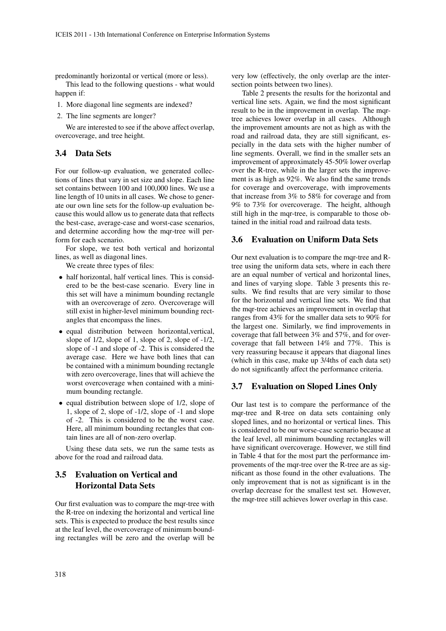predominantly horizontal or vertical (more or less).

This lead to the following questions - what would happen if:

- 1. More diagonal line segments are indexed?
- 2. The line segments are longer?

We are interested to see if the above affect overlap, overcoverage, and tree height.

#### 3.4 Data Sets

For our follow-up evaluation, we generated collections of lines that vary in set size and slope. Each line set contains between 100 and 100,000 lines. We use a line length of 10 units in all cases. We chose to generate our own line sets for the follow-up evaluation because this would allow us to generate data that reflects the best-case, average-case and worst-case scenarios, and determine according how the mqr-tree will perform for each scenario.

For slope, we test both vertical and horizontal lines, as well as diagonal lines.

We create three types of files:

- half horizontal, half vertical lines. This is considered to be the best-case scenario. Every line in this set will have a minimum bounding rectangle with an overcoverage of zero. Overcoverage will still exist in higher-level minimum bounding rectangles that encompass the lines.
- equal distribution between horizontal,vertical, slope of 1/2, slope of 1, slope of 2, slope of -1/2, slope of -1 and slope of -2. This is considered the average case. Here we have both lines that can be contained with a minimum bounding rectangle with zero overcoverage, lines that will achieve the worst overcoverage when contained with a minimum bounding rectangle.
- equal distribution between slope of 1/2, slope of 1, slope of 2, slope of -1/2, slope of -1 and slope of -2. This is considered to be the worst case. Here, all minimum bounding rectangles that contain lines are all of non-zero overlap.

Using these data sets, we run the same tests as above for the road and railroad data.

## 3.5 Evaluation on Vertical and Horizontal Data Sets

Our first evaluation was to compare the mqr-tree with the R-tree on indexing the horizontal and vertical line sets. This is expected to produce the best results since at the leaf level, the overcoverage of minimum bounding rectangles will be zero and the overlap will be

very low (effectively, the only overlap are the intersection points between two lines).

Table 2 presents the results for the horizontal and vertical line sets. Again, we find the most significant result to be in the improvement in overlap. The mqrtree achieves lower overlap in all cases. Although the improvement amounts are not as high as with the road and railroad data, they are still significant, especially in the data sets with the higher number of line segments. Overall, we find in the smaller sets an improvement of approximately 45-50% lower overlap over the R-tree, while in the larger sets the improvement is as high as 92%. We also find the same trends for coverage and overcoverage, with improvements that increase from 3% to 58% for coverage and from 9% to 73% for overcoverage. The height, although still high in the mqr-tree, is comparable to those obtained in the initial road and railroad data tests.

#### 3.6 Evaluation on Uniform Data Sets

Our next evaluation is to compare the mqr-tree and Rtree using the uniform data sets, where in each there are an equal number of vertical and horizontal lines, and lines of varying slope. Table 3 presents this results. We find results that are very similar to those for the horizontal and vertical line sets. We find that the mqr-tree achieves an improvement in overlap that ranges from 43% for the smaller data sets to 90% for the largest one. Similarly, we find improvements in coverage that fall between 3% and 57%, and for overcoverage that fall between 14% and 77%. This is very reassuring because it appears that diagonal lines (which in this case, make up 3/4ths of each data set) do not significantly affect the performance criteria.

### 3.7 Evaluation on Sloped Lines Only

Our last test is to compare the performance of the mqr-tree and R-tree on data sets containing only sloped lines, and no horizontal or vertical lines. This is considered to be our worse-case scenario because at the leaf level, all minimum bounding rectangles will have significant overcoverage. However, we still find in Table 4 that for the most part the performance improvements of the mqr-tree over the R-tree are as significant as those found in the other evaluations. The only improvement that is not as significant is in the overlap decrease for the smallest test set. However, the mqr-tree still achieves lower overlap in this case.